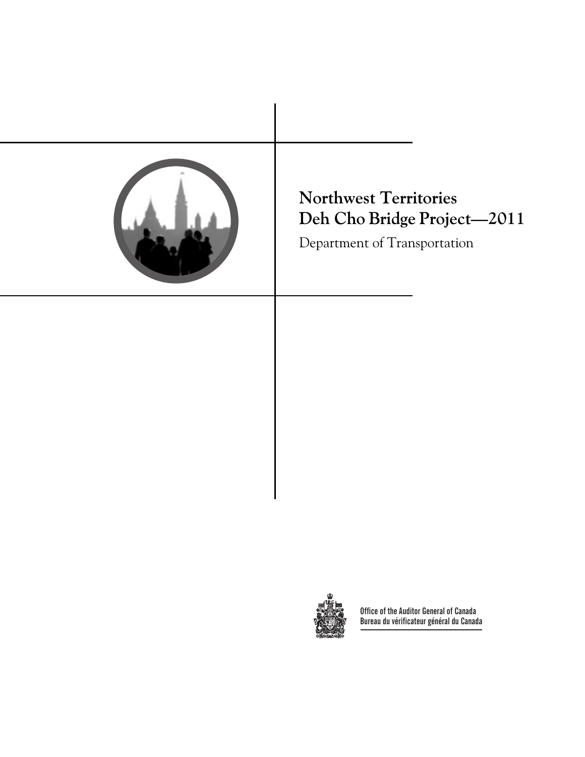



**Office of the Auditor General of Canada Bureau du vérificateur général du Canada**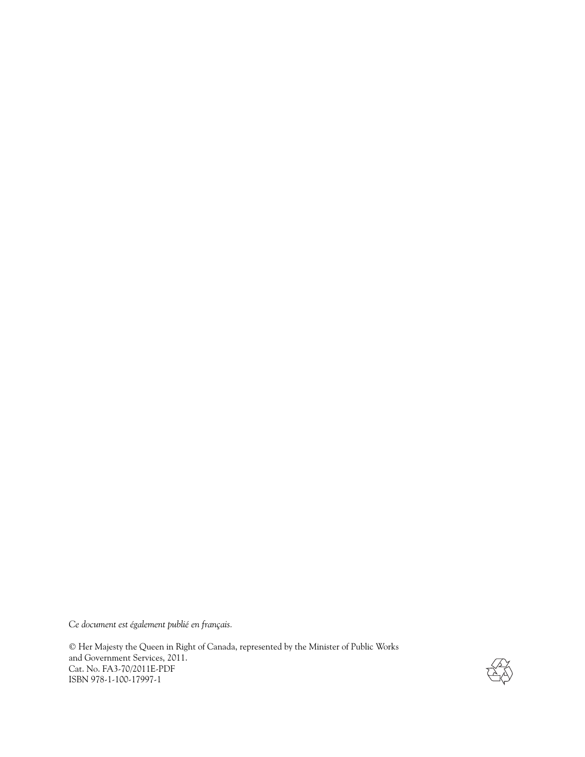*Ce document est également publié en français.*

© Her Majesty the Queen in Right of Canada, represented by the Minister of Public Works and Government Services, 2011. Cat. No. FA3-70/2011E-PDF ISBN 978-1-100-17997-1

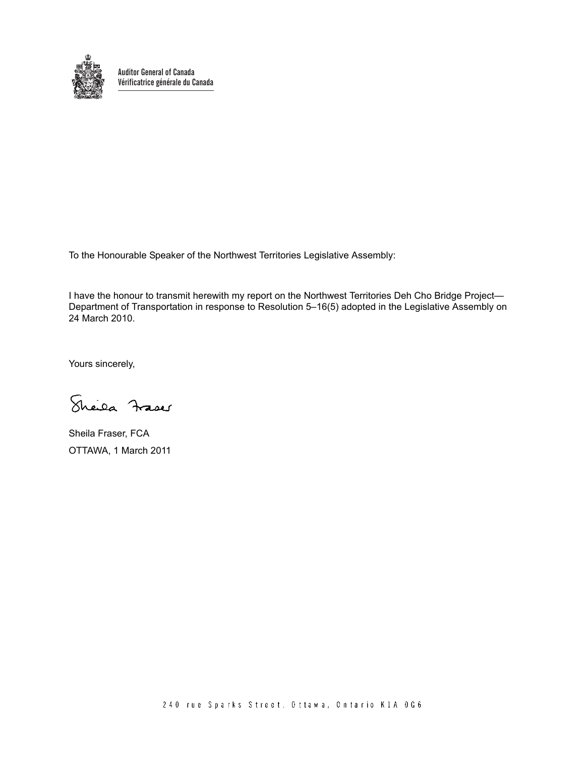

**Auditor General of Canada Vérificatrice générale du Canada**

To the Honourable Speaker of the Northwest Territories Legislative Assembly:

I have the honour to transmit herewith my report on the Northwest Territories Deh Cho Bridge Project— Department of Transportation in response to Resolution 5–16(5) adopted in the Legislative Assembly on 24 March 2010.

Yours sincerely,

Sheila Frases

Sheila Fraser, FCA OTTAWA, 1 March 2011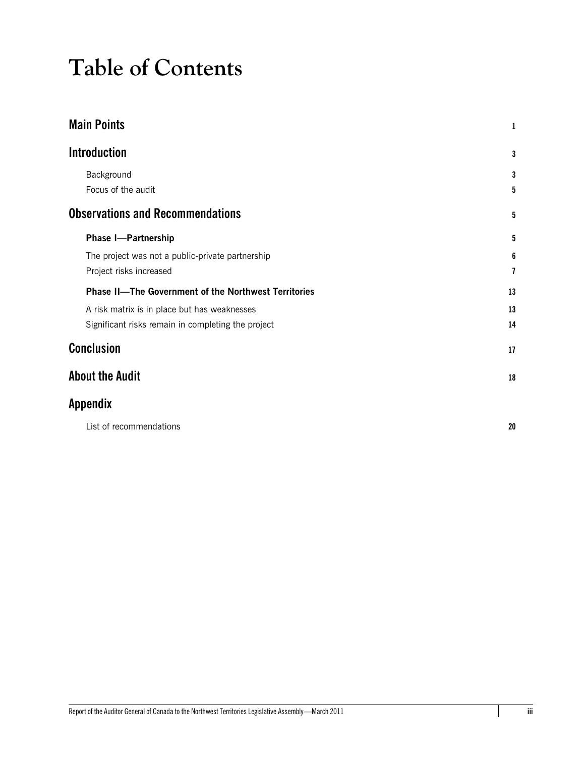# **Table of Contents**

| <b>Main Points</b>                                          | 1  |
|-------------------------------------------------------------|----|
| <b>Introduction</b>                                         | 3  |
| Background                                                  | 3  |
| Focus of the audit                                          | 5  |
| <b>Observations and Recommendations</b>                     | 5  |
| <b>Phase I-Partnership</b>                                  | 5  |
| The project was not a public-private partnership            | 6  |
| Project risks increased                                     | 7  |
| <b>Phase II-The Government of the Northwest Territories</b> | 13 |
| A risk matrix is in place but has weaknesses                | 13 |
| Significant risks remain in completing the project          | 14 |
| <b>Conclusion</b>                                           | 17 |
| <b>About the Audit</b>                                      | 18 |
| <b>Appendix</b>                                             |    |
| List of recommendations                                     | 20 |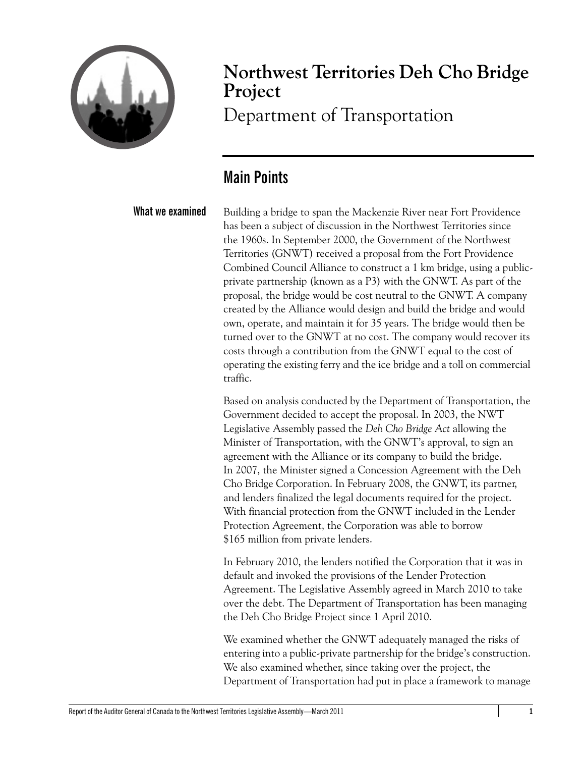

# **Northwest Territories Deh Cho Bridge Project**

Department of Transportation

### <span id="page-6-0"></span>**Main Points**

**What we examined** Building a bridge to span the Mackenzie River near Fort Providence has been a subject of discussion in the Northwest Territories since the 1960s. In September 2000, the Government of the Northwest Territories (GNWT) received a proposal from the Fort Providence Combined Council Alliance to construct a 1 km bridge, using a publicprivate partnership (known as a P3) with the GNWT. As part of the proposal, the bridge would be cost neutral to the GNWT. A company created by the Alliance would design and build the bridge and would own, operate, and maintain it for 35 years. The bridge would then be turned over to the GNWT at no cost. The company would recover its costs through a contribution from the GNWT equal to the cost of operating the existing ferry and the ice bridge and a toll on commercial traffic.

> Based on analysis conducted by the Department of Transportation, the Government decided to accept the proposal. In 2003, the NWT Legislative Assembly passed the *Deh Cho Bridge Act* allowing the Minister of Transportation, with the GNWT's approval, to sign an agreement with the Alliance or its company to build the bridge. In 2007, the Minister signed a Concession Agreement with the Deh Cho Bridge Corporation. In February 2008, the GNWT, its partner, and lenders finalized the legal documents required for the project. With financial protection from the GNWT included in the Lender Protection Agreement, the Corporation was able to borrow \$165 million from private lenders.

In February 2010, the lenders notified the Corporation that it was in default and invoked the provisions of the Lender Protection Agreement. The Legislative Assembly agreed in March 2010 to take over the debt. The Department of Transportation has been managing the Deh Cho Bridge Project since 1 April 2010.

We examined whether the GNWT adequately managed the risks of entering into a public-private partnership for the bridge's construction. We also examined whether, since taking over the project, the Department of Transportation had put in place a framework to manage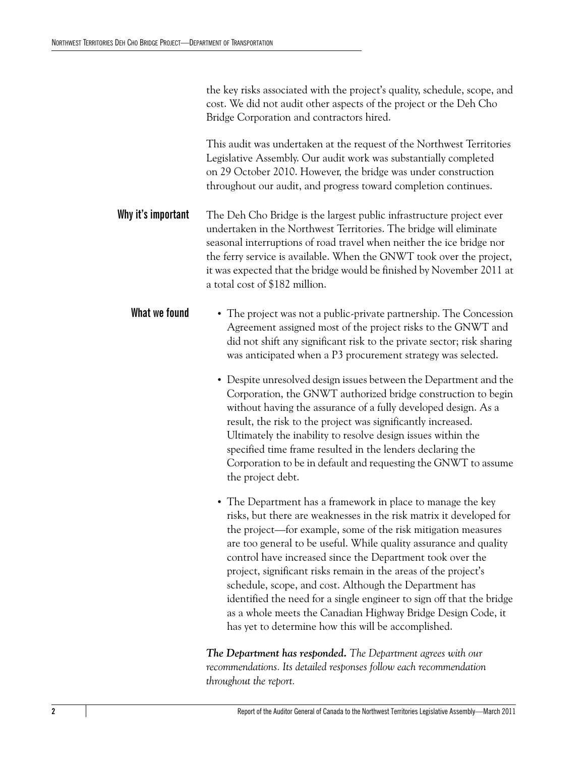the key risks associated with the project's quality, schedule, scope, and cost. We did not audit other aspects of the project or the Deh Cho Bridge Corporation and contractors hired.

This audit was undertaken at the request of the Northwest Territories Legislative Assembly. Our audit work was substantially completed on 29 October 2010. However, the bridge was under construction throughout our audit, and progress toward completion continues.

- **Why it's important** The Deh Cho Bridge is the largest public infrastructure project ever undertaken in the Northwest Territories. The bridge will eliminate seasonal interruptions of road travel when neither the ice bridge nor the ferry service is available. When the GNWT took over the project, it was expected that the bridge would be finished by November 2011 at a total cost of \$182 million.
	- What we found The project was not a public-private partnership. The Concession Agreement assigned most of the project risks to the GNWT and did not shift any significant risk to the private sector; risk sharing was anticipated when a P3 procurement strategy was selected.
		- **•** Despite unresolved design issues between the Department and the Corporation, the GNWT authorized bridge construction to begin without having the assurance of a fully developed design. As a result, the risk to the project was significantly increased. Ultimately the inability to resolve design issues within the specified time frame resulted in the lenders declaring the Corporation to be in default and requesting the GNWT to assume the project debt.
		- **•** The Department has a framework in place to manage the key risks, but there are weaknesses in the risk matrix it developed for the project—for example, some of the risk mitigation measures are too general to be useful. While quality assurance and quality control have increased since the Department took over the project, significant risks remain in the areas of the project's schedule, scope, and cost. Although the Department has identified the need for a single engineer to sign off that the bridge as a whole meets the Canadian Highway Bridge Design Code, it has yet to determine how this will be accomplished.

*The Department has responded. The Department agrees with our recommendations. Its detailed responses follow each recommendation throughout the report.*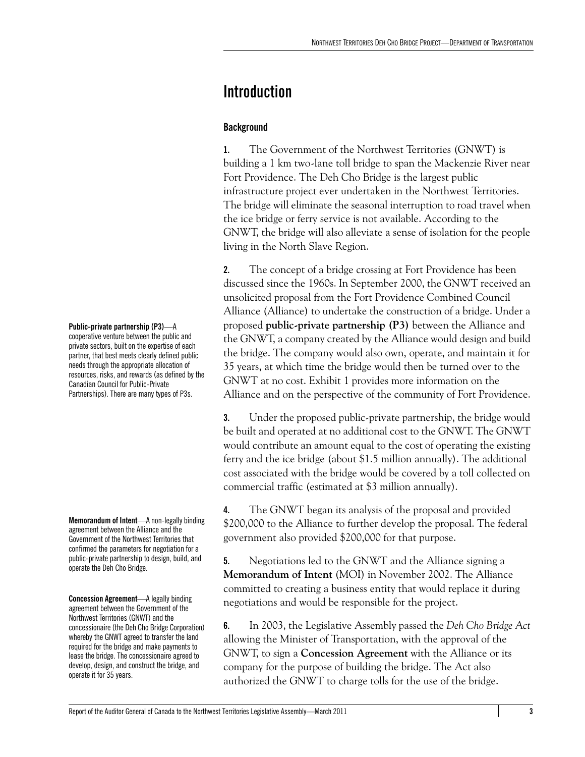## <span id="page-8-0"></span>**Introduction**

### <span id="page-8-1"></span>**Background**

**1.** The Government of the Northwest Territories (GNWT) is building a 1 km two-lane toll bridge to span the Mackenzie River near Fort Providence. The Deh Cho Bridge is the largest public infrastructure project ever undertaken in the Northwest Territories. The bridge will eliminate the seasonal interruption to road travel when the ice bridge or ferry service is not available. According to the GNWT, the bridge will also alleviate a sense of isolation for the people living in the North Slave Region.

**2.** The concept of a bridge crossing at Fort Providence has been discussed since the 1960s. In September 2000, the GNWT received an unsolicited proposal from the Fort Providence Combined Council Alliance (Alliance) to undertake the construction of a bridge. Under a proposed **public-private partnership (P3)** between the Alliance and the GNWT, a company created by the Alliance would design and build the bridge. The company would also own, operate, and maintain it for 35 years, at which time the bridge would then be turned over to the GNWT at no cost. Exhibit 1 provides more information on the Alliance and on the perspective of the community of Fort Providence.

**3.** Under the proposed public-private partnership, the bridge would be built and operated at no additional cost to the GNWT. The GNWT would contribute an amount equal to the cost of operating the existing ferry and the ice bridge (about \$1.5 million annually). The additional cost associated with the bridge would be covered by a toll collected on commercial traffic (estimated at \$3 million annually).

**4.** The GNWT began its analysis of the proposal and provided \$200,000 to the Alliance to further develop the proposal. The federal government also provided \$200,000 for that purpose.

**5.** Negotiations led to the GNWT and the Alliance signing a **Memorandum of Intent** (MOI) in November 2002. The Alliance committed to creating a business entity that would replace it during negotiations and would be responsible for the project.

**6.** In 2003, the Legislative Assembly passed the *Deh Cho Bridge Act* allowing the Minister of Transportation, with the approval of the GNWT, to sign a **Concession Agreement** with the Alliance or its company for the purpose of building the bridge. The Act also authorized the GNWT to charge tolls for the use of the bridge.

**Public-private partnership (P3)**—A cooperative venture between the public and private sectors, built on the expertise of each partner, that best meets clearly defined public needs through the appropriate allocation of resources, risks, and rewards (as defined by the Canadian Council for Public-Private Partnerships). There are many types of P3s.

**Memorandum of Intent**—A non-legally binding agreement between the Alliance and the Government of the Northwest Territories that confirmed the parameters for negotiation for a public-private partnership to design, build, and operate the Deh Cho Bridge.

**Concession Agreement**—A legally binding agreement between the Government of the Northwest Territories (GNWT) and the concessionaire (the Deh Cho Bridge Corporation) whereby the GNWT agreed to transfer the land required for the bridge and make payments to lease the bridge. The concessionaire agreed to develop, design, and construct the bridge, and operate it for 35 years.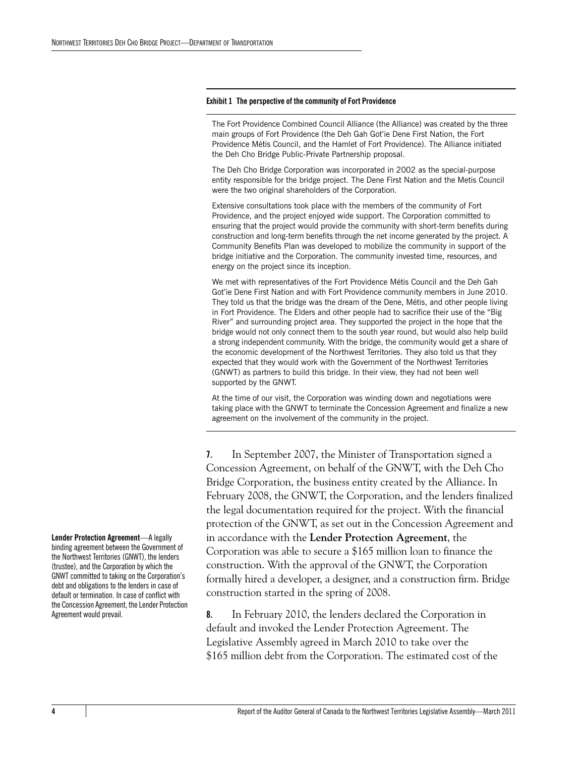#### **Exhibit 1 The perspective of the community of Fort Providence**

The Fort Providence Combined Council Alliance (the Alliance) was created by the three main groups of Fort Providence (the Deh Gah Got'ie Dene First Nation, the Fort Providence Métis Council, and the Hamlet of Fort Providence). The Alliance initiated the Deh Cho Bridge Public-Private Partnership proposal.

The Deh Cho Bridge Corporation was incorporated in 2002 as the special-purpose entity responsible for the bridge project. The Dene First Nation and the Metis Council were the two original shareholders of the Corporation.

Extensive consultations took place with the members of the community of Fort Providence, and the project enjoyed wide support. The Corporation committed to ensuring that the project would provide the community with short-term benefits during construction and long-term benefits through the net income generated by the project. A Community Benefits Plan was developed to mobilize the community in support of the bridge initiative and the Corporation. The community invested time, resources, and energy on the project since its inception.

We met with representatives of the Fort Providence Métis Council and the Deh Gah Got'ie Dene First Nation and with Fort Providence community members in June 2010. They told us that the bridge was the dream of the Dene, Métis, and other people living in Fort Providence. The Elders and other people had to sacrifice their use of the "Big River" and surrounding project area. They supported the project in the hope that the bridge would not only connect them to the south year round, but would also help build a strong independent community. With the bridge, the community would get a share of the economic development of the Northwest Territories. They also told us that they expected that they would work with the Government of the Northwest Territories (GNWT) as partners to build this bridge. In their view, they had not been well supported by the GNWT.

At the time of our visit, the Corporation was winding down and negotiations were taking place with the GNWT to terminate the Concession Agreement and finalize a new agreement on the involvement of the community in the project.

**7.** In September 2007, the Minister of Transportation signed a Concession Agreement, on behalf of the GNWT, with the Deh Cho Bridge Corporation, the business entity created by the Alliance. In February 2008, the GNWT, the Corporation, and the lenders finalized the legal documentation required for the project. With the financial protection of the GNWT, as set out in the Concession Agreement and in accordance with the **Lender Protection Agreement**, the Corporation was able to secure a \$165 million loan to finance the construction. With the approval of the GNWT, the Corporation formally hired a developer, a designer, and a construction firm. Bridge construction started in the spring of 2008.

**8.** In February 2010, the lenders declared the Corporation in default and invoked the Lender Protection Agreement. The Legislative Assembly agreed in March 2010 to take over the \$165 million debt from the Corporation. The estimated cost of the

**Lender Protection Agreement**—A legally binding agreement between the Government of the Northwest Territories (GNWT), the lenders (trustee), and the Corporation by which the GNWT committed to taking on the Corporation's debt and obligations to the lenders in case of default or termination. In case of conflict with the Concession Agreement, the Lender Protection Agreement would prevail.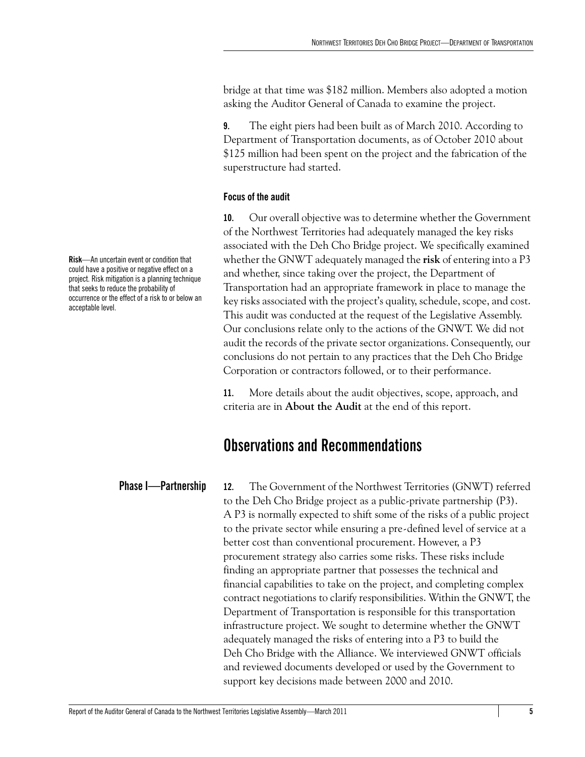bridge at that time was \$182 million. Members also adopted a motion asking the Auditor General of Canada to examine the project.

**9.** The eight piers had been built as of March 2010. According to Department of Transportation documents, as of October 2010 about \$125 million had been spent on the project and the fabrication of the superstructure had started.

### <span id="page-10-0"></span>**Focus of the audit**

**10.** Our overall objective was to determine whether the Government of the Northwest Territories had adequately managed the key risks associated with the Deh Cho Bridge project. We specifically examined whether the GNWT adequately managed the **risk** of entering into a P3 and whether, since taking over the project, the Department of Transportation had an appropriate framework in place to manage the key risks associated with the project's quality, schedule, scope, and cost. This audit was conducted at the request of the Legislative Assembly. Our conclusions relate only to the actions of the GNWT. We did not audit the records of the private sector organizations. Consequently, our conclusions do not pertain to any practices that the Deh Cho Bridge Corporation or contractors followed, or to their performance.

**11.** More details about the audit objectives, scope, approach, and criteria are in **About the Audit** at the end of this report.

### <span id="page-10-1"></span>**Observations and Recommendations**

<span id="page-10-2"></span>**Phase I—Partnership 12.** The Government of the Northwest Territories (GNWT) referred to the Deh Cho Bridge project as a public-private partnership (P3). A P3 is normally expected to shift some of the risks of a public project to the private sector while ensuring a pre-defined level of service at a better cost than conventional procurement. However, a P3 procurement strategy also carries some risks. These risks include finding an appropriate partner that possesses the technical and financial capabilities to take on the project, and completing complex contract negotiations to clarify responsibilities. Within the GNWT, the Department of Transportation is responsible for this transportation infrastructure project. We sought to determine whether the GNWT adequately managed the risks of entering into a P3 to build the Deh Cho Bridge with the Alliance. We interviewed GNWT officials and reviewed documents developed or used by the Government to support key decisions made between 2000 and 2010.

**Risk**—An uncertain event or condition that could have a positive or negative effect on a project. Risk mitigation is a planning technique that seeks to reduce the probability of occurrence or the effect of a risk to or below an acceptable level.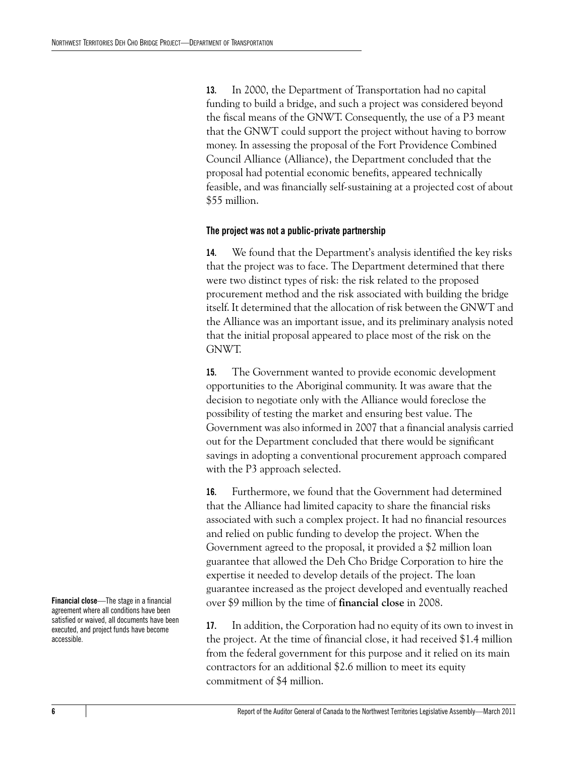**13.** In 2000, the Department of Transportation had no capital funding to build a bridge, and such a project was considered beyond the fiscal means of the GNWT. Consequently, the use of a P3 meant that the GNWT could support the project without having to borrow money. In assessing the proposal of the Fort Providence Combined Council Alliance (Alliance), the Department concluded that the proposal had potential economic benefits, appeared technically feasible, and was financially self-sustaining at a projected cost of about \$55 million.

### <span id="page-11-0"></span>**The project was not a public-private partnership**

**14.** We found that the Department's analysis identified the key risks that the project was to face. The Department determined that there were two distinct types of risk: the risk related to the proposed procurement method and the risk associated with building the bridge itself. It determined that the allocation of risk between the GNWT and the Alliance was an important issue, and its preliminary analysis noted that the initial proposal appeared to place most of the risk on the GNWT.

**15.** The Government wanted to provide economic development opportunities to the Aboriginal community. It was aware that the decision to negotiate only with the Alliance would foreclose the possibility of testing the market and ensuring best value. The Government was also informed in 2007 that a financial analysis carried out for the Department concluded that there would be significant savings in adopting a conventional procurement approach compared with the P3 approach selected.

**16.** Furthermore, we found that the Government had determined that the Alliance had limited capacity to share the financial risks associated with such a complex project. It had no financial resources and relied on public funding to develop the project. When the Government agreed to the proposal, it provided a \$2 million loan guarantee that allowed the Deh Cho Bridge Corporation to hire the expertise it needed to develop details of the project. The loan guarantee increased as the project developed and eventually reached over \$9 million by the time of **financial close** in 2008.

**17.** In addition, the Corporation had no equity of its own to invest in the project. At the time of financial close, it had received \$1.4 million from the federal government for this purpose and it relied on its main contractors for an additional \$2.6 million to meet its equity commitment of \$4 million.

**Financial close**—The stage in a financial agreement where all conditions have been satisfied or waived, all documents have been executed, and project funds have become accessible.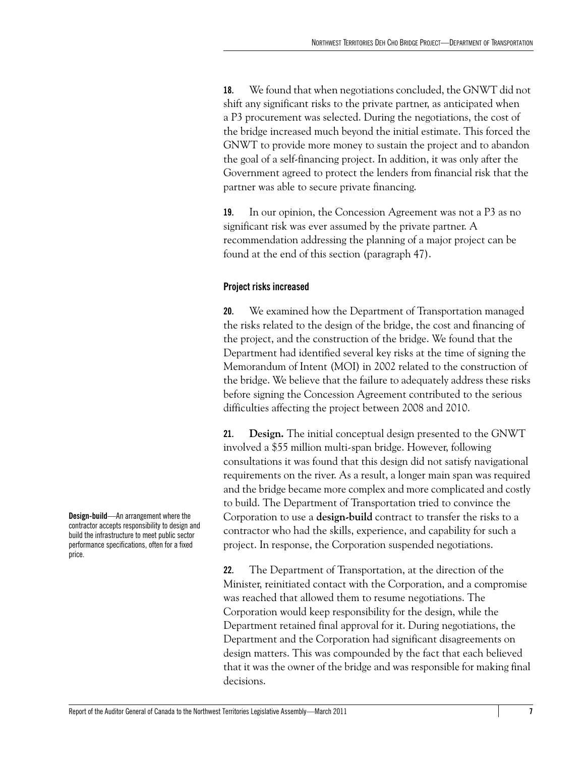**18.** We found that when negotiations concluded, the GNWT did not shift any significant risks to the private partner, as anticipated when a P3 procurement was selected. During the negotiations, the cost of the bridge increased much beyond the initial estimate. This forced the GNWT to provide more money to sustain the project and to abandon the goal of a self-financing project. In addition, it was only after the Government agreed to protect the lenders from financial risk that the partner was able to secure private financing.

**19.** In our opinion, the Concession Agreement was not a P3 as no significant risk was ever assumed by the private partner. A recommendation addressing the planning of a major project can be found at the end of this section (paragraph 47).

### <span id="page-12-0"></span>**Project risks increased**

**20.** We examined how the Department of Transportation managed the risks related to the design of the bridge, the cost and financing of the project, and the construction of the bridge. We found that the Department had identified several key risks at the time of signing the Memorandum of Intent (MOI) in 2002 related to the construction of the bridge. We believe that the failure to adequately address these risks before signing the Concession Agreement contributed to the serious difficulties affecting the project between 2008 and 2010.

**21. Design.** The initial conceptual design presented to the GNWT involved a \$55 million multi-span bridge. However, following consultations it was found that this design did not satisfy navigational requirements on the river. As a result, a longer main span was required and the bridge became more complex and more complicated and costly to build. The Department of Transportation tried to convince the Corporation to use a **design-build** contract to transfer the risks to a contractor who had the skills, experience, and capability for such a project. In response, the Corporation suspended negotiations.

**22.** The Department of Transportation, at the direction of the Minister, reinitiated contact with the Corporation, and a compromise was reached that allowed them to resume negotiations. The Corporation would keep responsibility for the design, while the Department retained final approval for it. During negotiations, the Department and the Corporation had significant disagreements on design matters. This was compounded by the fact that each believed that it was the owner of the bridge and was responsible for making final decisions.

**Design-build**—An arrangement where the contractor accepts responsibility to design and build the infrastructure to meet public sector performance specifications, often for a fixed price.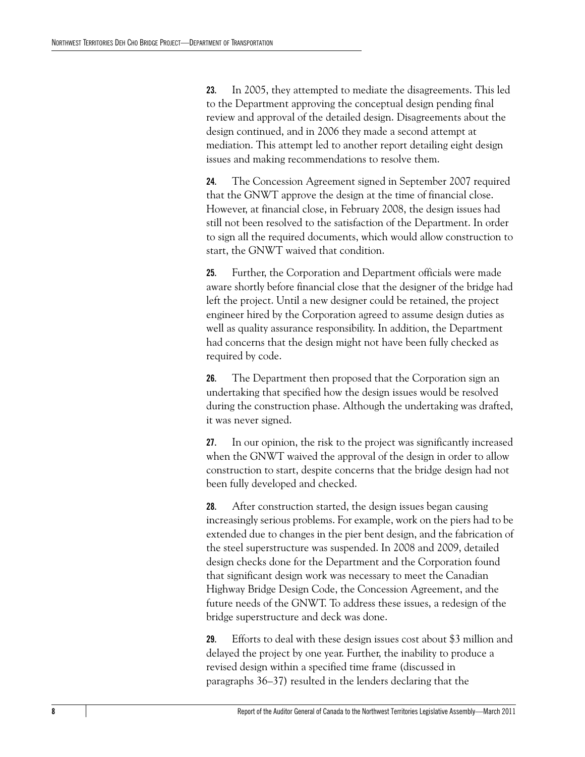**23.** In 2005, they attempted to mediate the disagreements. This led to the Department approving the conceptual design pending final review and approval of the detailed design. Disagreements about the design continued, and in 2006 they made a second attempt at mediation. This attempt led to another report detailing eight design issues and making recommendations to resolve them.

**24.** The Concession Agreement signed in September 2007 required that the GNWT approve the design at the time of financial close. However, at financial close, in February 2008, the design issues had still not been resolved to the satisfaction of the Department. In order to sign all the required documents, which would allow construction to start, the GNWT waived that condition.

**25.** Further, the Corporation and Department officials were made aware shortly before financial close that the designer of the bridge had left the project. Until a new designer could be retained, the project engineer hired by the Corporation agreed to assume design duties as well as quality assurance responsibility. In addition, the Department had concerns that the design might not have been fully checked as required by code.

**26.** The Department then proposed that the Corporation sign an undertaking that specified how the design issues would be resolved during the construction phase. Although the undertaking was drafted, it was never signed.

**27.** In our opinion, the risk to the project was significantly increased when the GNWT waived the approval of the design in order to allow construction to start, despite concerns that the bridge design had not been fully developed and checked.

**28.** After construction started, the design issues began causing increasingly serious problems. For example, work on the piers had to be extended due to changes in the pier bent design, and the fabrication of the steel superstructure was suspended. In 2008 and 2009, detailed design checks done for the Department and the Corporation found that significant design work was necessary to meet the Canadian Highway Bridge Design Code, the Concession Agreement, and the future needs of the GNWT. To address these issues, a redesign of the bridge superstructure and deck was done.

**29.** Efforts to deal with these design issues cost about \$3 million and delayed the project by one year. Further, the inability to produce a revised design within a specified time frame (discussed in paragraphs 36–37) resulted in the lenders declaring that the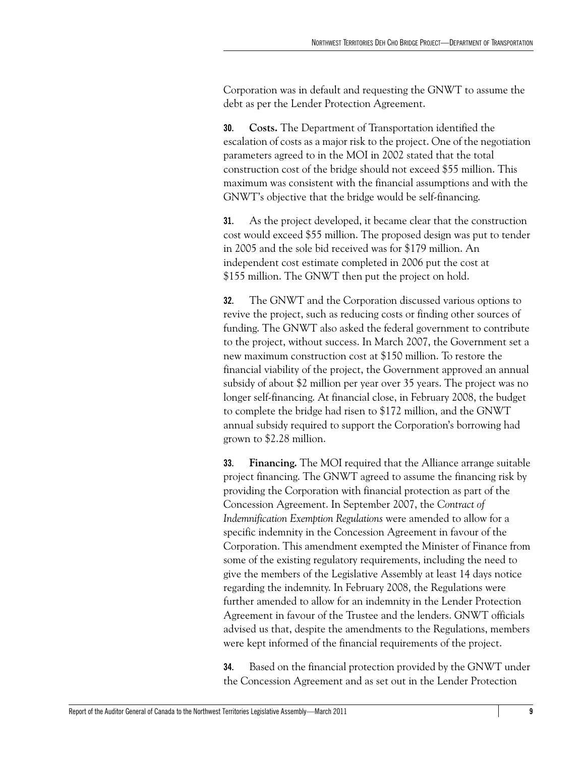Corporation was in default and requesting the GNWT to assume the debt as per the Lender Protection Agreement.

**30. Costs.** The Department of Transportation identified the escalation of costs as a major risk to the project. One of the negotiation parameters agreed to in the MOI in 2002 stated that the total construction cost of the bridge should not exceed \$55 million. This maximum was consistent with the financial assumptions and with the GNWT's objective that the bridge would be self-financing.

**31.** As the project developed, it became clear that the construction cost would exceed \$55 million. The proposed design was put to tender in 2005 and the sole bid received was for \$179 million. An independent cost estimate completed in 2006 put the cost at \$155 million. The GNWT then put the project on hold.

**32.** The GNWT and the Corporation discussed various options to revive the project, such as reducing costs or finding other sources of funding. The GNWT also asked the federal government to contribute to the project, without success. In March 2007, the Government set a new maximum construction cost at \$150 million. To restore the financial viability of the project, the Government approved an annual subsidy of about \$2 million per year over 35 years. The project was no longer self-financing. At financial close, in February 2008, the budget to complete the bridge had risen to \$172 million, and the GNWT annual subsidy required to support the Corporation's borrowing had grown to \$2.28 million.

**33. Financing.** The MOI required that the Alliance arrange suitable project financing. The GNWT agreed to assume the financing risk by providing the Corporation with financial protection as part of the Concession Agreement. In September 2007, the *Contract of Indemnification Exemption Regulations* were amended to allow for a specific indemnity in the Concession Agreement in favour of the Corporation. This amendment exempted the Minister of Finance from some of the existing regulatory requirements, including the need to give the members of the Legislative Assembly at least 14 days notice regarding the indemnity. In February 2008, the Regulations were further amended to allow for an indemnity in the Lender Protection Agreement in favour of the Trustee and the lenders. GNWT officials advised us that, despite the amendments to the Regulations, members were kept informed of the financial requirements of the project.

**34.** Based on the financial protection provided by the GNWT under the Concession Agreement and as set out in the Lender Protection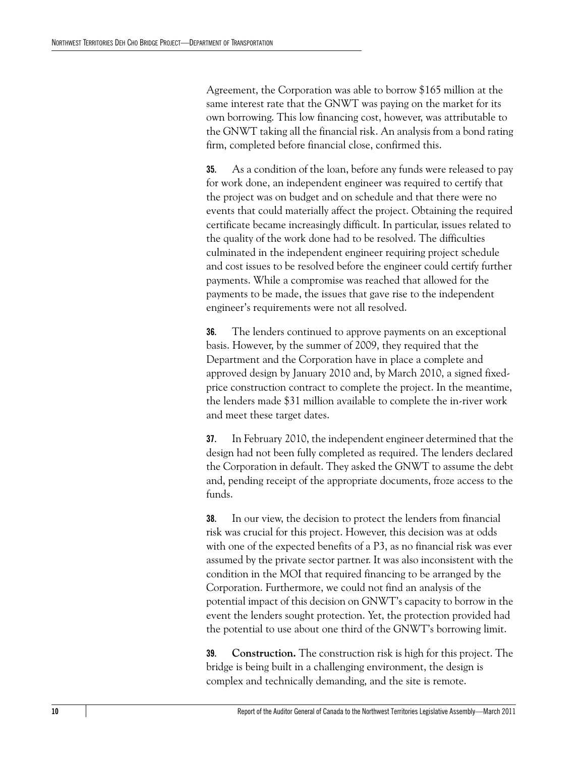Agreement, the Corporation was able to borrow \$165 million at the same interest rate that the GNWT was paying on the market for its own borrowing. This low financing cost, however, was attributable to the GNWT taking all the financial risk. An analysis from a bond rating firm, completed before financial close, confirmed this.

**35.** As a condition of the loan, before any funds were released to pay for work done, an independent engineer was required to certify that the project was on budget and on schedule and that there were no events that could materially affect the project. Obtaining the required certificate became increasingly difficult. In particular, issues related to the quality of the work done had to be resolved. The difficulties culminated in the independent engineer requiring project schedule and cost issues to be resolved before the engineer could certify further payments. While a compromise was reached that allowed for the payments to be made, the issues that gave rise to the independent engineer's requirements were not all resolved.

**36.** The lenders continued to approve payments on an exceptional basis. However, by the summer of 2009, they required that the Department and the Corporation have in place a complete and approved design by January 2010 and, by March 2010, a signed fixedprice construction contract to complete the project. In the meantime, the lenders made \$31 million available to complete the in-river work and meet these target dates.

**37.** In February 2010, the independent engineer determined that the design had not been fully completed as required. The lenders declared the Corporation in default. They asked the GNWT to assume the debt and, pending receipt of the appropriate documents, froze access to the funds.

**38.** In our view, the decision to protect the lenders from financial risk was crucial for this project. However, this decision was at odds with one of the expected benefits of a P3, as no financial risk was ever assumed by the private sector partner. It was also inconsistent with the condition in the MOI that required financing to be arranged by the Corporation. Furthermore, we could not find an analysis of the potential impact of this decision on GNWT's capacity to borrow in the event the lenders sought protection. Yet, the protection provided had the potential to use about one third of the GNWT's borrowing limit.

**39. Construction.** The construction risk is high for this project. The bridge is being built in a challenging environment, the design is complex and technically demanding, and the site is remote.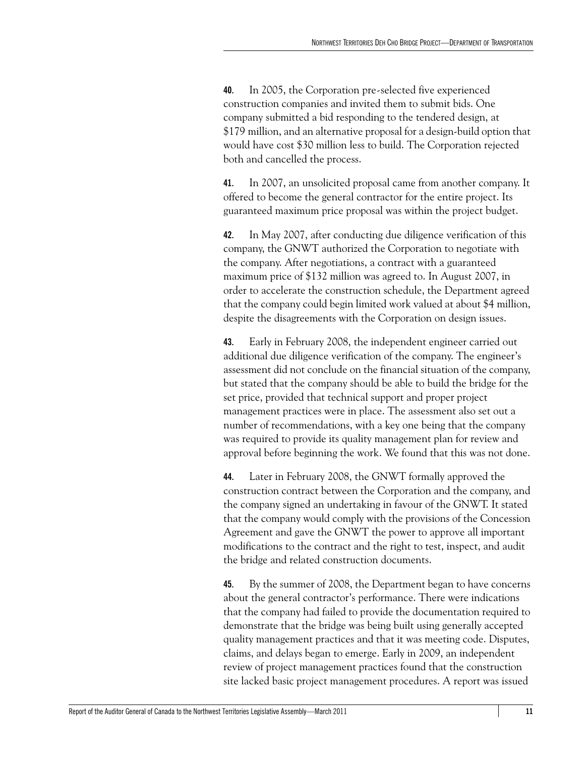**40.** In 2005, the Corporation pre-selected five experienced construction companies and invited them to submit bids. One company submitted a bid responding to the tendered design, at \$179 million, and an alternative proposal for a design-build option that would have cost \$30 million less to build. The Corporation rejected both and cancelled the process.

**41.** In 2007, an unsolicited proposal came from another company. It offered to become the general contractor for the entire project. Its guaranteed maximum price proposal was within the project budget.

**42.** In May 2007, after conducting due diligence verification of this company, the GNWT authorized the Corporation to negotiate with the company. After negotiations, a contract with a guaranteed maximum price of \$132 million was agreed to. In August 2007, in order to accelerate the construction schedule, the Department agreed that the company could begin limited work valued at about \$4 million, despite the disagreements with the Corporation on design issues.

**43.** Early in February 2008, the independent engineer carried out additional due diligence verification of the company. The engineer's assessment did not conclude on the financial situation of the company, but stated that the company should be able to build the bridge for the set price, provided that technical support and proper project management practices were in place. The assessment also set out a number of recommendations, with a key one being that the company was required to provide its quality management plan for review and approval before beginning the work. We found that this was not done.

**44.** Later in February 2008, the GNWT formally approved the construction contract between the Corporation and the company, and the company signed an undertaking in favour of the GNWT. It stated that the company would comply with the provisions of the Concession Agreement and gave the GNWT the power to approve all important modifications to the contract and the right to test, inspect, and audit the bridge and related construction documents.

**45.** By the summer of 2008, the Department began to have concerns about the general contractor's performance. There were indications that the company had failed to provide the documentation required to demonstrate that the bridge was being built using generally accepted quality management practices and that it was meeting code. Disputes, claims, and delays began to emerge. Early in 2009, an independent review of project management practices found that the construction site lacked basic project management procedures. A report was issued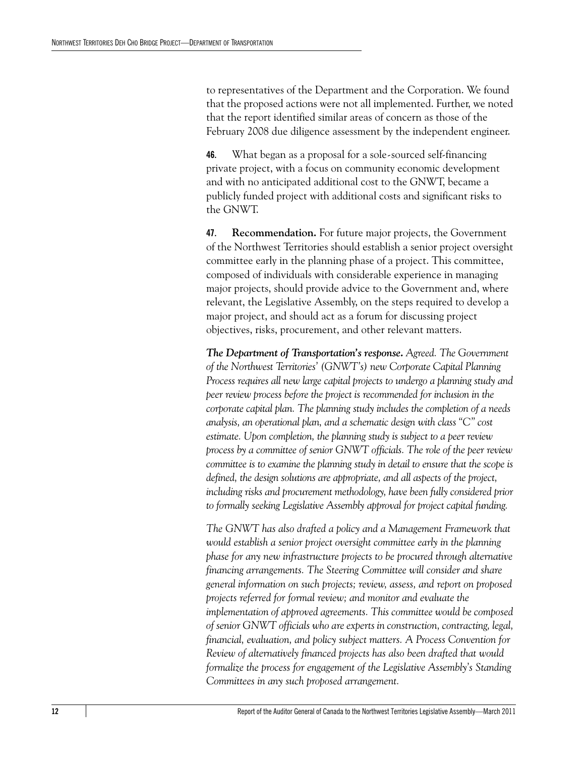to representatives of the Department and the Corporation. We found that the proposed actions were not all implemented. Further, we noted that the report identified similar areas of concern as those of the February 2008 due diligence assessment by the independent engineer.

**46.** What began as a proposal for a sole-sourced self-financing private project, with a focus on community economic development and with no anticipated additional cost to the GNWT, became a publicly funded project with additional costs and significant risks to the GNWT.

**47. Recommendation.** For future major projects, the Government of the Northwest Territories should establish a senior project oversight committee early in the planning phase of a project. This committee, composed of individuals with considerable experience in managing major projects, should provide advice to the Government and, where relevant, the Legislative Assembly, on the steps required to develop a major project, and should act as a forum for discussing project objectives, risks, procurement, and other relevant matters.

*The Department of Transportation's response. Agreed. The Government of the Northwest Territories' (GNWT's) new Corporate Capital Planning Process requires all new large capital projects to undergo a planning study and peer review process before the project is recommended for inclusion in the corporate capital plan. The planning study includes the completion of a needs analysis, an operational plan, and a schematic design with class "C" cost estimate. Upon completion, the planning study is subject to a peer review process by a committee of senior GNWT officials. The role of the peer review committee is to examine the planning study in detail to ensure that the scope is defined, the design solutions are appropriate, and all aspects of the project, including risks and procurement methodology, have been fully considered prior to formally seeking Legislative Assembly approval for project capital funding.*

*The GNWT has also drafted a policy and a Management Framework that would establish a senior project oversight committee early in the planning phase for any new infrastructure projects to be procured through alternative financing arrangements. The Steering Committee will consider and share general information on such projects; review, assess, and report on proposed projects referred for formal review; and monitor and evaluate the implementation of approved agreements. This committee would be composed of senior GNWT officials who are experts in construction, contracting, legal, financial, evaluation, and policy subject matters. A Process Convention for Review of alternatively financed projects has also been drafted that would formalize the process for engagement of the Legislative Assembly's Standing Committees in any such proposed arrangement.*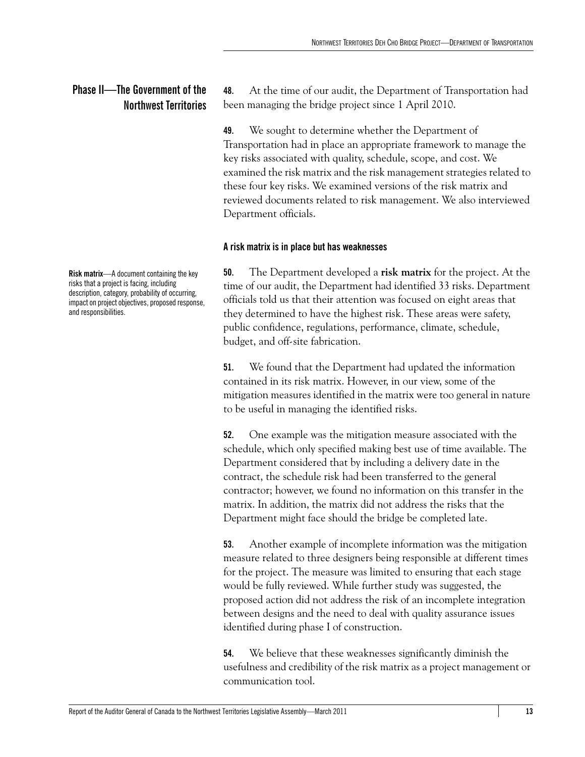### <span id="page-18-0"></span>**Phase II—The Government of the Northwest Territories**

**Risk matrix**—A document containing the key risks that a project is facing, including description, category, probability of occurring, impact on project objectives, proposed response, and responsibilities.

**48.** At the time of our audit, the Department of Transportation had been managing the bridge project since 1 April 2010.

**49.** We sought to determine whether the Department of Transportation had in place an appropriate framework to manage the key risks associated with quality, schedule, scope, and cost. We examined the risk matrix and the risk management strategies related to these four key risks. We examined versions of the risk matrix and reviewed documents related to risk management. We also interviewed Department officials.

### <span id="page-18-1"></span>**A risk matrix is in place but has weaknesses**

**50.** The Department developed a **risk matrix** for the project. At the time of our audit, the Department had identified 33 risks. Department officials told us that their attention was focused on eight areas that they determined to have the highest risk. These areas were safety, public confidence, regulations, performance, climate, schedule, budget, and off-site fabrication.

**51.** We found that the Department had updated the information contained in its risk matrix. However, in our view, some of the mitigation measures identified in the matrix were too general in nature to be useful in managing the identified risks.

**52.** One example was the mitigation measure associated with the schedule, which only specified making best use of time available. The Department considered that by including a delivery date in the contract, the schedule risk had been transferred to the general contractor; however, we found no information on this transfer in the matrix. In addition, the matrix did not address the risks that the Department might face should the bridge be completed late.

**53.** Another example of incomplete information was the mitigation measure related to three designers being responsible at different times for the project. The measure was limited to ensuring that each stage would be fully reviewed. While further study was suggested, the proposed action did not address the risk of an incomplete integration between designs and the need to deal with quality assurance issues identified during phase I of construction.

**54.** We believe that these weaknesses significantly diminish the usefulness and credibility of the risk matrix as a project management or communication tool.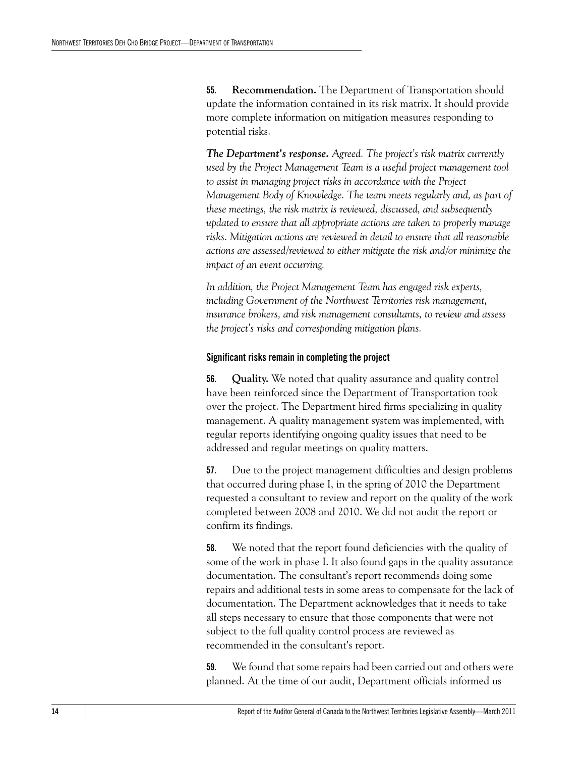**55. Recommendation.** The Department of Transportation should update the information contained in its risk matrix. It should provide more complete information on mitigation measures responding to potential risks.

*The Department's response. Agreed. The project's risk matrix currently used by the Project Management Team is a useful project management tool to assist in managing project risks in accordance with the Project Management Body of Knowledge. The team meets regularly and, as part of these meetings, the risk matrix is reviewed, discussed, and subsequently updated to ensure that all appropriate actions are taken to properly manage risks. Mitigation actions are reviewed in detail to ensure that all reasonable actions are assessed/reviewed to either mitigate the risk and/or minimize the impact of an event occurring.*

*In addition, the Project Management Team has engaged risk experts, including Government of the Northwest Territories risk management, insurance brokers, and risk management consultants, to review and assess the project's risks and corresponding mitigation plans.*

### <span id="page-19-0"></span>**Significant risks remain in completing the project**

**56. Quality.** We noted that quality assurance and quality control have been reinforced since the Department of Transportation took over the project. The Department hired firms specializing in quality management. A quality management system was implemented, with regular reports identifying ongoing quality issues that need to be addressed and regular meetings on quality matters.

**57.** Due to the project management difficulties and design problems that occurred during phase I, in the spring of 2010 the Department requested a consultant to review and report on the quality of the work completed between 2008 and 2010. We did not audit the report or confirm its findings.

**58.** We noted that the report found deficiencies with the quality of some of the work in phase I. It also found gaps in the quality assurance documentation. The consultant's report recommends doing some repairs and additional tests in some areas to compensate for the lack of documentation. The Department acknowledges that it needs to take all steps necessary to ensure that those components that were not subject to the full quality control process are reviewed as recommended in the consultant's report.

**59.** We found that some repairs had been carried out and others were planned. At the time of our audit, Department officials informed us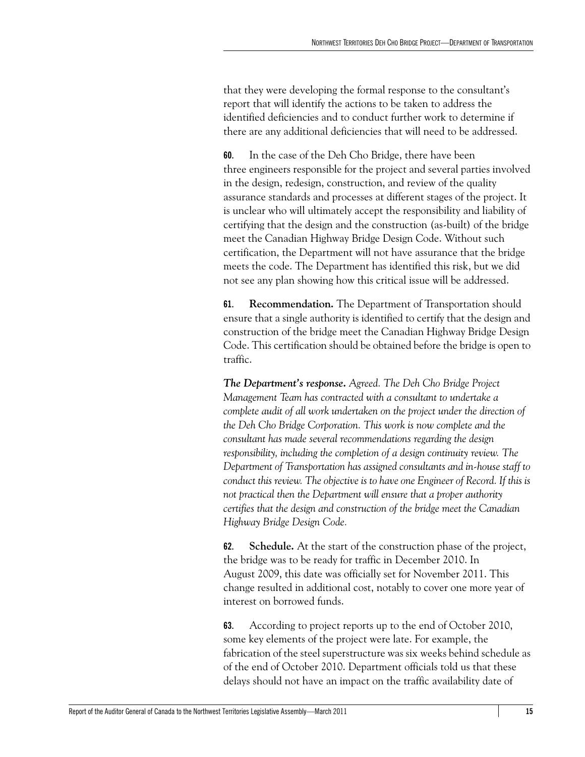that they were developing the formal response to the consultant's report that will identify the actions to be taken to address the identified deficiencies and to conduct further work to determine if there are any additional deficiencies that will need to be addressed.

**60.** In the case of the Deh Cho Bridge, there have been three engineers responsible for the project and several parties involved in the design, redesign, construction, and review of the quality assurance standards and processes at different stages of the project. It is unclear who will ultimately accept the responsibility and liability of certifying that the design and the construction (as-built) of the bridge meet the Canadian Highway Bridge Design Code. Without such certification, the Department will not have assurance that the bridge meets the code. The Department has identified this risk, but we did not see any plan showing how this critical issue will be addressed.

**61. Recommendation.** The Department of Transportation should ensure that a single authority is identified to certify that the design and construction of the bridge meet the Canadian Highway Bridge Design Code. This certification should be obtained before the bridge is open to traffic.

*The Department's response. Agreed. The Deh Cho Bridge Project Management Team has contracted with a consultant to undertake a complete audit of all work undertaken on the project under the direction of the Deh Cho Bridge Corporation. This work is now complete and the consultant has made several recommendations regarding the design responsibility, including the completion of a design continuity review. The Department of Transportation has assigned consultants and in-house staff to conduct this review. The objective is to have one Engineer of Record. If this is not practical then the Department will ensure that a proper authority certifies that the design and construction of the bridge meet the Canadian Highway Bridge Design Code.*

**62. Schedule.** At the start of the construction phase of the project, the bridge was to be ready for traffic in December 2010. In August 2009, this date was officially set for November 2011. This change resulted in additional cost, notably to cover one more year of interest on borrowed funds.

**63.** According to project reports up to the end of October 2010, some key elements of the project were late. For example, the fabrication of the steel superstructure was six weeks behind schedule as of the end of October 2010. Department officials told us that these delays should not have an impact on the traffic availability date of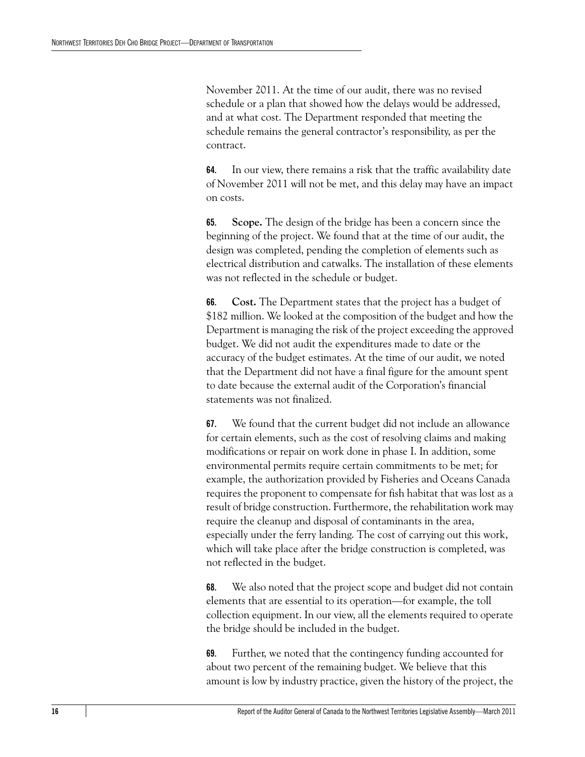November 2011. At the time of our audit, there was no revised schedule or a plan that showed how the delays would be addressed, and at what cost. The Department responded that meeting the schedule remains the general contractor's responsibility, as per the contract.

**64.** In our view, there remains a risk that the traffic availability date of November 2011 will not be met, and this delay may have an impact on costs.

**65. Scope.** The design of the bridge has been a concern since the beginning of the project. We found that at the time of our audit, the design was completed, pending the completion of elements such as electrical distribution and catwalks. The installation of these elements was not reflected in the schedule or budget.

**66. Cost.** The Department states that the project has a budget of \$182 million. We looked at the composition of the budget and how the Department is managing the risk of the project exceeding the approved budget. We did not audit the expenditures made to date or the accuracy of the budget estimates. At the time of our audit, we noted that the Department did not have a final figure for the amount spent to date because the external audit of the Corporation's financial statements was not finalized.

**67.** We found that the current budget did not include an allowance for certain elements, such as the cost of resolving claims and making modifications or repair on work done in phase I. In addition, some environmental permits require certain commitments to be met; for example, the authorization provided by Fisheries and Oceans Canada requires the proponent to compensate for fish habitat that was lost as a result of bridge construction. Furthermore, the rehabilitation work may require the cleanup and disposal of contaminants in the area, especially under the ferry landing. The cost of carrying out this work, which will take place after the bridge construction is completed, was not reflected in the budget.

**68.** We also noted that the project scope and budget did not contain elements that are essential to its operation—for example, the toll collection equipment. In our view, all the elements required to operate the bridge should be included in the budget.

**69.** Further, we noted that the contingency funding accounted for about two percent of the remaining budget. We believe that this amount is low by industry practice, given the history of the project, the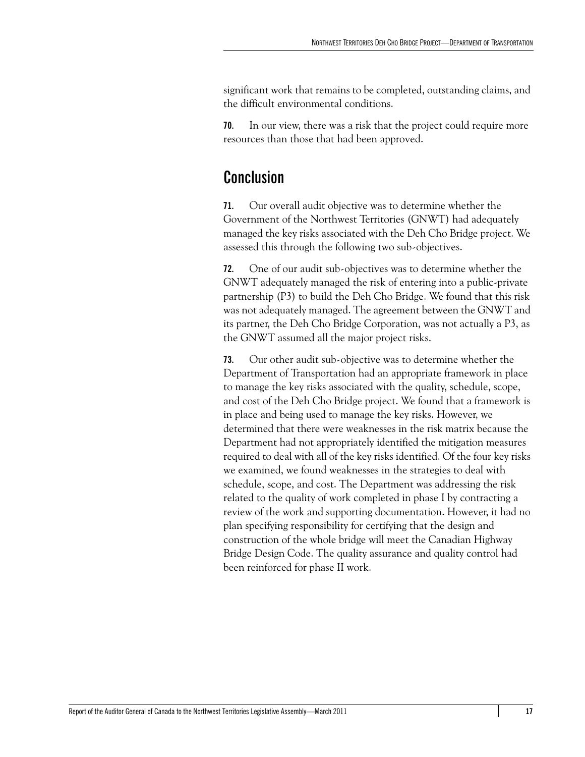significant work that remains to be completed, outstanding claims, and the difficult environmental conditions.

**70.** In our view, there was a risk that the project could require more resources than those that had been approved.

### <span id="page-22-0"></span>**Conclusion**

**71.** Our overall audit objective was to determine whether the Government of the Northwest Territories (GNWT) had adequately managed the key risks associated with the Deh Cho Bridge project. We assessed this through the following two sub-objectives.

**72.** One of our audit sub-objectives was to determine whether the GNWT adequately managed the risk of entering into a public-private partnership (P3) to build the Deh Cho Bridge. We found that this risk was not adequately managed. The agreement between the GNWT and its partner, the Deh Cho Bridge Corporation, was not actually a P3, as the GNWT assumed all the major project risks.

**73.** Our other audit sub-objective was to determine whether the Department of Transportation had an appropriate framework in place to manage the key risks associated with the quality, schedule, scope, and cost of the Deh Cho Bridge project. We found that a framework is in place and being used to manage the key risks. However, we determined that there were weaknesses in the risk matrix because the Department had not appropriately identified the mitigation measures required to deal with all of the key risks identified. Of the four key risks we examined, we found weaknesses in the strategies to deal with schedule, scope, and cost. The Department was addressing the risk related to the quality of work completed in phase I by contracting a review of the work and supporting documentation. However, it had no plan specifying responsibility for certifying that the design and construction of the whole bridge will meet the Canadian Highway Bridge Design Code. The quality assurance and quality control had been reinforced for phase II work.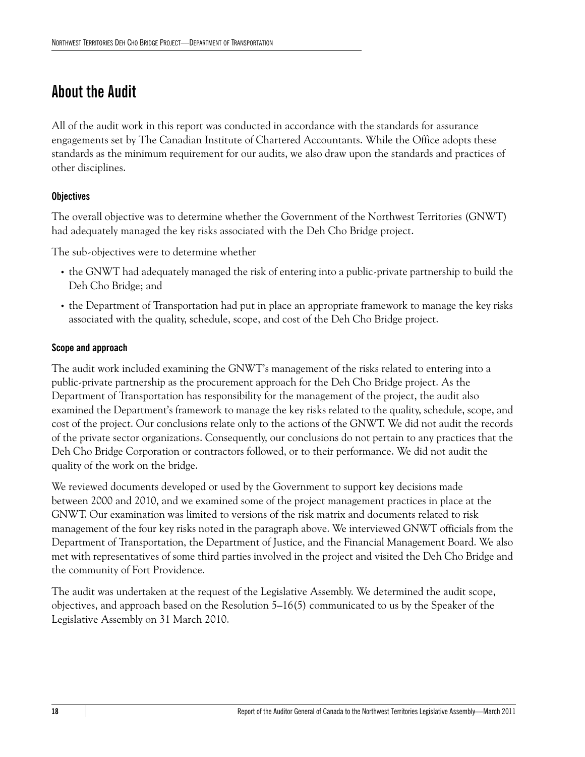### <span id="page-23-0"></span>**About the Audit**

All of the audit work in this report was conducted in accordance with the standards for assurance engagements set by The Canadian Institute of Chartered Accountants. While the Office adopts these standards as the minimum requirement for our audits, we also draw upon the standards and practices of other disciplines.

### **Objectives**

The overall objective was to determine whether the Government of the Northwest Territories (GNWT) had adequately managed the key risks associated with the Deh Cho Bridge project.

The sub-objectives were to determine whether

- **•** the GNWT had adequately managed the risk of entering into a public-private partnership to build the Deh Cho Bridge; and
- **•** the Department of Transportation had put in place an appropriate framework to manage the key risks associated with the quality, schedule, scope, and cost of the Deh Cho Bridge project.

### **Scope and approach**

The audit work included examining the GNWT's management of the risks related to entering into a public-private partnership as the procurement approach for the Deh Cho Bridge project. As the Department of Transportation has responsibility for the management of the project, the audit also examined the Department's framework to manage the key risks related to the quality, schedule, scope, and cost of the project. Our conclusions relate only to the actions of the GNWT. We did not audit the records of the private sector organizations. Consequently, our conclusions do not pertain to any practices that the Deh Cho Bridge Corporation or contractors followed, or to their performance. We did not audit the quality of the work on the bridge.

We reviewed documents developed or used by the Government to support key decisions made between 2000 and 2010, and we examined some of the project management practices in place at the GNWT. Our examination was limited to versions of the risk matrix and documents related to risk management of the four key risks noted in the paragraph above. We interviewed GNWT officials from the Department of Transportation, the Department of Justice, and the Financial Management Board. We also met with representatives of some third parties involved in the project and visited the Deh Cho Bridge and the community of Fort Providence.

The audit was undertaken at the request of the Legislative Assembly. We determined the audit scope, objectives, and approach based on the Resolution 5–16(5) communicated to us by the Speaker of the Legislative Assembly on 31 March 2010.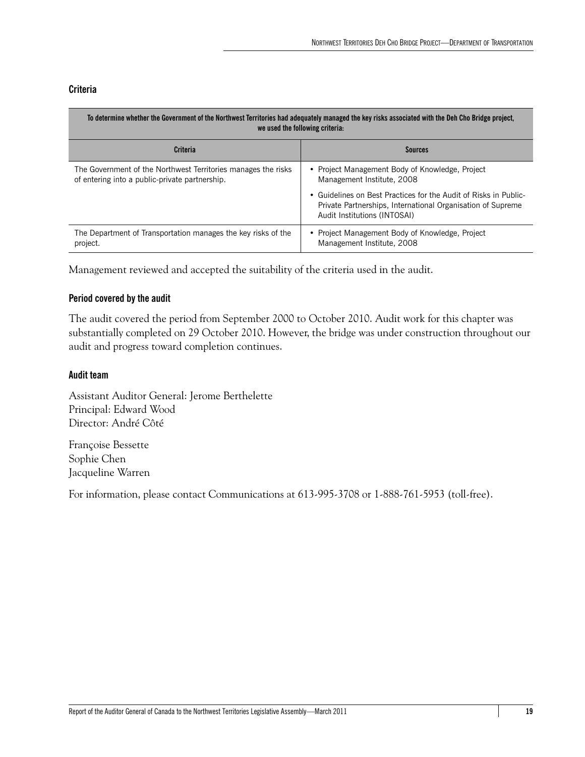### **Criteria**

| To determine whether the Government of the Northwest Territories had adequately managed the key risks associated with the Deh Cho Bridge project,<br>we used the following criteria: |                                                                                                                                                                 |  |
|--------------------------------------------------------------------------------------------------------------------------------------------------------------------------------------|-----------------------------------------------------------------------------------------------------------------------------------------------------------------|--|
| Criteria                                                                                                                                                                             | <b>Sources</b>                                                                                                                                                  |  |
| The Government of the Northwest Territories manages the risks<br>of entering into a public-private partnership.                                                                      | • Project Management Body of Knowledge, Project<br>Management Institute, 2008                                                                                   |  |
|                                                                                                                                                                                      | • Guidelines on Best Practices for the Audit of Risks in Public-<br>Private Partnerships, International Organisation of Supreme<br>Audit Institutions (INTOSAI) |  |
| The Department of Transportation manages the key risks of the<br>project.                                                                                                            | • Project Management Body of Knowledge, Project<br>Management Institute, 2008                                                                                   |  |

Management reviewed and accepted the suitability of the criteria used in the audit.

### **Period covered by the audit**

The audit covered the period from September 2000 to October 2010. Audit work for this chapter was substantially completed on 29 October 2010. However, the bridge was under construction throughout our audit and progress toward completion continues.

### **Audit team**

Assistant Auditor General: Jerome Berthelette Principal: Edward Wood Director: André Côté

Françoise Bessette Sophie Chen Jacqueline Warren

For information, please contact Communications at 613-995-3708 or 1-888-761-5953 (toll-free).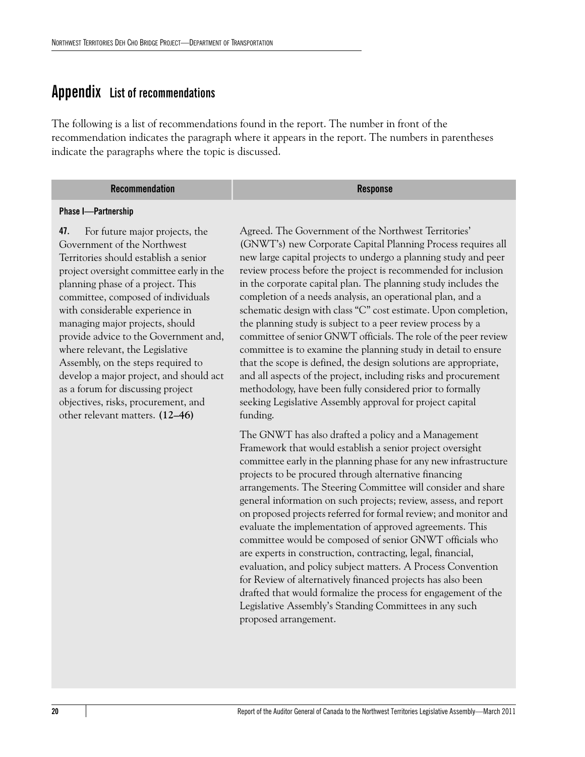### <span id="page-25-0"></span>**Appendix List of recommendations**

The following is a list of recommendations found in the report. The number in front of the recommendation indicates the paragraph where it appears in the report. The numbers in parentheses indicate the paragraphs where the topic is discussed.

| <b>Recommendation</b> | <b>Response</b> |
|-----------------------|-----------------|
|-----------------------|-----------------|

#### **Phase I—Partnership**

**47.** For future major projects, the Government of the Northwest Territories should establish a senior project oversight committee early in the planning phase of a project. This committee, composed of individuals with considerable experience in managing major projects, should provide advice to the Government and, where relevant, the Legislative Assembly, on the steps required to develop a major project, and should act as a forum for discussing project objectives, risks, procurement, and other relevant matters. **(12–46)**

Agreed. The Government of the Northwest Territories' (GNWT's) new Corporate Capital Planning Process requires all new large capital projects to undergo a planning study and peer review process before the project is recommended for inclusion in the corporate capital plan. The planning study includes the completion of a needs analysis, an operational plan, and a schematic design with class "C" cost estimate. Upon completion, the planning study is subject to a peer review process by a committee of senior GNWT officials. The role of the peer review committee is to examine the planning study in detail to ensure that the scope is defined, the design solutions are appropriate, and all aspects of the project, including risks and procurement methodology, have been fully considered prior to formally seeking Legislative Assembly approval for project capital funding.

The GNWT has also drafted a policy and a Management Framework that would establish a senior project oversight committee early in the planning phase for any new infrastructure projects to be procured through alternative financing arrangements. The Steering Committee will consider and share general information on such projects; review, assess, and report on proposed projects referred for formal review; and monitor and evaluate the implementation of approved agreements. This committee would be composed of senior GNWT officials who are experts in construction, contracting, legal, financial, evaluation, and policy subject matters. A Process Convention for Review of alternatively financed projects has also been drafted that would formalize the process for engagement of the Legislative Assembly's Standing Committees in any such proposed arrangement.